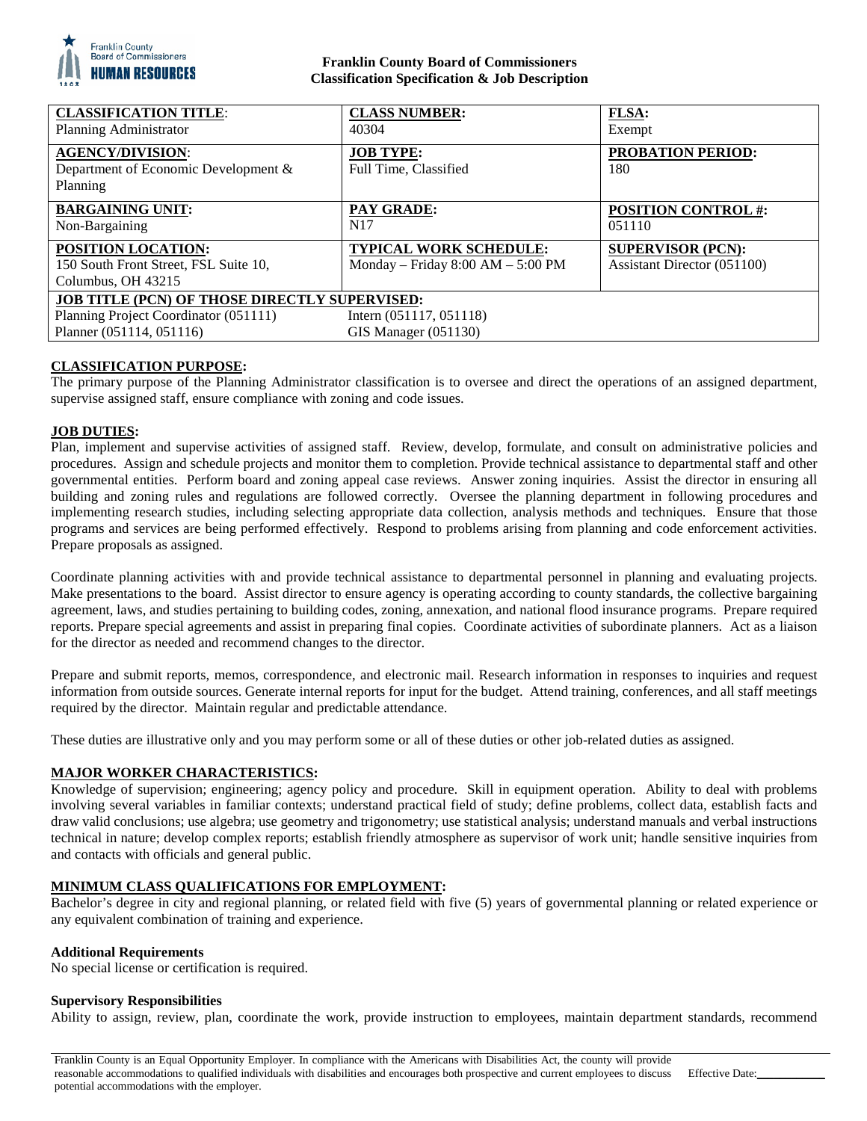

#### **Franklin County Board of Commissioners Classification Specification & Job Description**

| <b>CLASSIFICATION TITLE:</b><br>Planning Administrator                            | <b>CLASS NUMBER:</b><br>40304                                        | <b>FLSA:</b><br>Exempt                                  |
|-----------------------------------------------------------------------------------|----------------------------------------------------------------------|---------------------------------------------------------|
| <b>AGENCY/DIVISION:</b><br>Department of Economic Development &<br>Planning       | <b>JOB TYPE:</b><br>Full Time, Classified                            | <b>PROBATION PERIOD:</b><br>180                         |
| <b>BARGAINING UNIT:</b><br>Non-Bargaining                                         | <b>PAY GRADE:</b><br>N <sub>17</sub>                                 | <b>POSITION CONTROL #:</b><br>051110                    |
| POSITION LOCATION:<br>150 South Front Street, FSL Suite 10,<br>Columbus, OH 43215 | <b>TYPICAL WORK SCHEDULE:</b><br>Monday - Friday $8:00 AM - 5:00 PM$ | <b>SUPERVISOR (PCN):</b><br>Assistant Director (051100) |
| <b>JOB TITLE (PCN) OF THOSE DIRECTLY SUPERVISED:</b>                              |                                                                      |                                                         |
| Planning Project Coordinator (051111)<br>Planner (051114, 051116)                 | Intern $(051117, 051118)$<br>$GIS$ Manager $(051130)$                |                                                         |

## **CLASSIFICATION PURPOSE:**

The primary purpose of the Planning Administrator classification is to oversee and direct the operations of an assigned department, supervise assigned staff, ensure compliance with zoning and code issues.

### **JOB DUTIES:**

Plan, implement and supervise activities of assigned staff. Review, develop, formulate, and consult on administrative policies and procedures. Assign and schedule projects and monitor them to completion. Provide technical assistance to departmental staff and other governmental entities. Perform board and zoning appeal case reviews. Answer zoning inquiries. Assist the director in ensuring all building and zoning rules and regulations are followed correctly. Oversee the planning department in following procedures and implementing research studies, including selecting appropriate data collection, analysis methods and techniques. Ensure that those programs and services are being performed effectively. Respond to problems arising from planning and code enforcement activities. Prepare proposals as assigned.

Coordinate planning activities with and provide technical assistance to departmental personnel in planning and evaluating projects. Make presentations to the board. Assist director to ensure agency is operating according to county standards, the collective bargaining agreement, laws, and studies pertaining to building codes, zoning, annexation, and national flood insurance programs. Prepare required reports. Prepare special agreements and assist in preparing final copies. Coordinate activities of subordinate planners. Act as a liaison for the director as needed and recommend changes to the director.

Prepare and submit reports, memos, correspondence, and electronic mail. Research information in responses to inquiries and request information from outside sources. Generate internal reports for input for the budget. Attend training, conferences, and all staff meetings required by the director. Maintain regular and predictable attendance.

These duties are illustrative only and you may perform some or all of these duties or other job-related duties as assigned.

#### **MAJOR WORKER CHARACTERISTICS:**

Knowledge of supervision; engineering; agency policy and procedure. Skill in equipment operation. Ability to deal with problems involving several variables in familiar contexts; understand practical field of study; define problems, collect data, establish facts and draw valid conclusions; use algebra; use geometry and trigonometry; use statistical analysis; understand manuals and verbal instructions technical in nature; develop complex reports; establish friendly atmosphere as supervisor of work unit; handle sensitive inquiries from and contacts with officials and general public.

#### **MINIMUM CLASS QUALIFICATIONS FOR EMPLOYMENT:**

Bachelor's degree in city and regional planning, or related field with five (5) years of governmental planning or related experience or any equivalent combination of training and experience.

#### **Additional Requirements**

No special license or certification is required.

#### **Supervisory Responsibilities**

Ability to assign, review, plan, coordinate the work, provide instruction to employees, maintain department standards, recommend

Franklin County is an Equal Opportunity Employer. In compliance with the Americans with Disabilities Act, the county will provide reasonable accommodations to qualified individuals with disabilities and encourages both prospective and current employees to discuss potential accommodations with the employer.